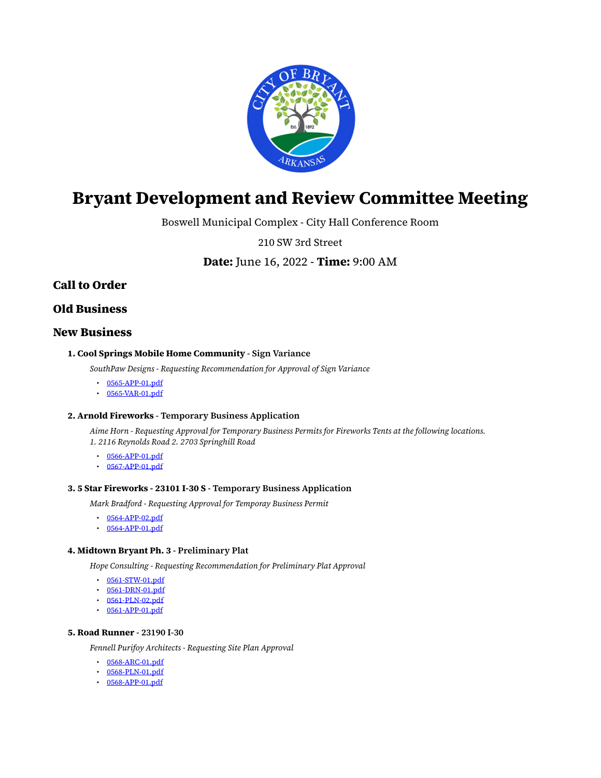

# <span id="page-0-0"></span>**Bryant Development and Review Committee Meeting**

Boswell Municipal Complex - City Hall Conference Room

210 SW 3rd Street

**Date:** June 16, 2022 - **Time:** 9:00 AM

# **Call to Order**

## **Old Business**

## **New Business**

#### **1. Cool Springs Mobile Home Community - Sign Variance**

*SouthPaw Designs - Requesting Recommendation for Approval of Sign Variance*

- [0565-APP-01.pdf](https://www.cityofbryant.com/grab/agendas/uploads/agenda_114/0565-app-01.pdf)
- $\cdot$  [0565-VAR-01.pdf](https://www.cityofbryant.com/grab/agendas/uploads/agenda_114/0565-var-01.pdf)

#### **2. Arnold Fireworks - Temporary Business Application**

*Aime Horn - Requesting Approval for Temporary Business Permits for Fireworks Tents at the following locations. 1. 2116 Reynolds Road 2. 2703 Springhill Road*

- [0566-APP-01.pdf](https://www.cityofbryant.com/grab/agendas/uploads/agenda_114/0566-app-01.pdf)
- [0567-APP-01.pdf](https://www.cityofbryant.com/grab/agendas/uploads/agenda_114/0567-app-01.pdf)

#### **3. 5 Star Fireworks - 23101 I-30 S - Temporary Business Application**

*Mark Bradford - Requesting Approval for Temporay Business Permit*

- [0564-APP-02.pdf](https://www.cityofbryant.com/grab/agendas/uploads/agenda_114/0564-app-02.pdf)
- $\cdot$  [0564-APP-01.pdf](https://www.cityofbryant.com/grab/agendas/uploads/agenda_114/0564-app-01.pdf)

#### **4. Midtown Bryant Ph. 3 - Preliminary Plat**

*Hope Consulting - Requesting Recommendation for Preliminary Plat Approval*

- [0561-STW-01.pdf](https://www.cityofbryant.com/grab/agendas/uploads/agenda_114/0561-stw-01.pdf)
- [0561-DRN-01.pdf](https://www.cityofbryant.com/grab/agendas/uploads/agenda_114/0561-drn-01.pdf)
- $\cdot$  [0561-PLN-02.pdf](https://www.cityofbryant.com/grab/agendas/uploads/agenda_114/0561-pln-02.pdf)
- [0561-APP-01.pdf](https://www.cityofbryant.com/grab/agendas/uploads/agenda_114/0561-app-01.pdf)

#### **5. Road Runner - 23190 I-30**

*Fennell Purifoy Architects - Requesting Site Plan Approval*

- [0568-ARC-01.pdf](https://www.cityofbryant.com/grab/agendas/uploads/agenda_114/0568-arc-01.pdf)
- [0568-PLN-01.pdf](https://www.cityofbryant.com/grab/agendas/uploads/agenda_114/0568-pln-01.pdf)
- [0568-APP-01.pdf](https://www.cityofbryant.com/grab/agendas/uploads/agenda_114/0568-app-01.pdf)